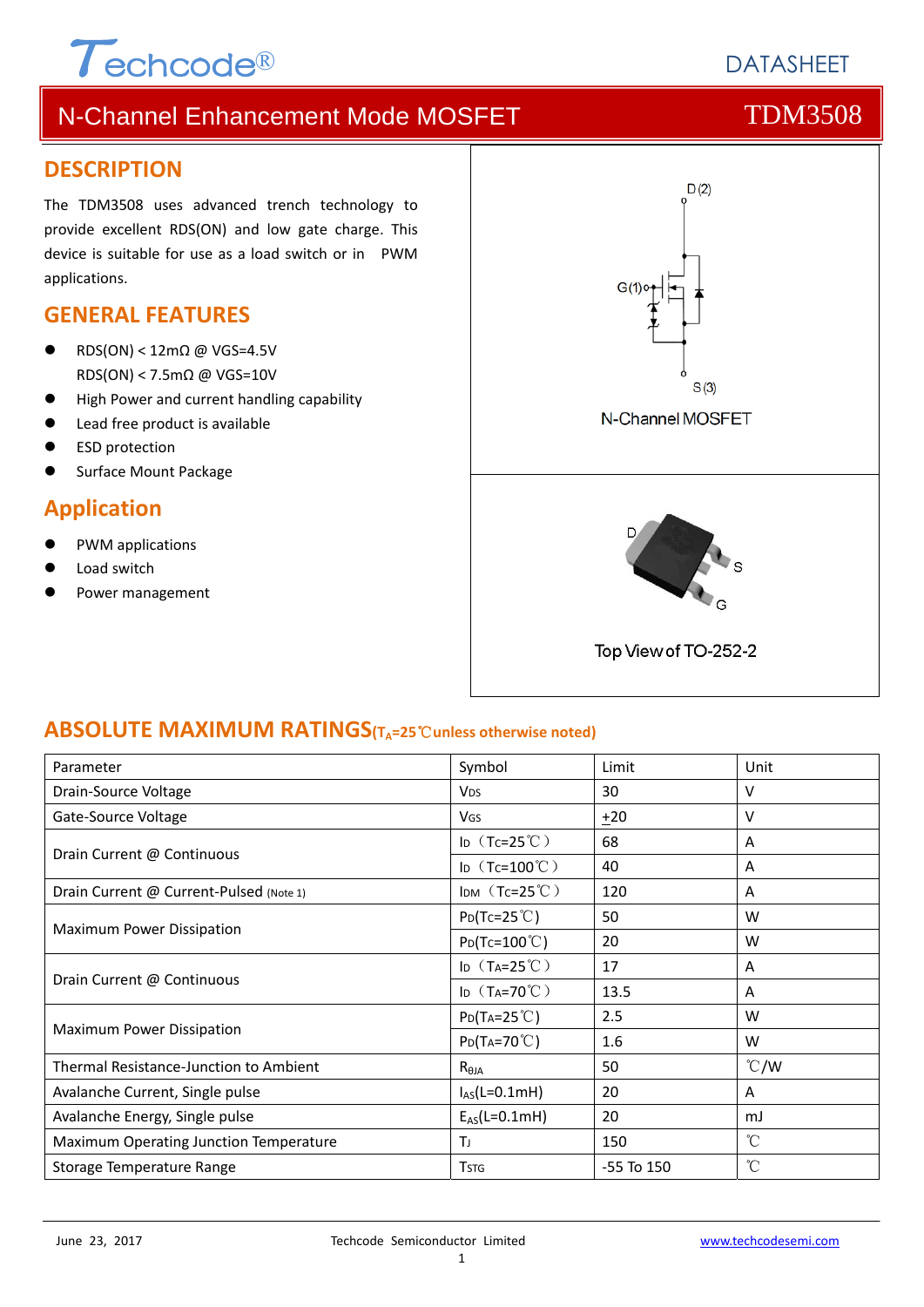# $\tau$ <sub>echcode®</sub>

# **DATASHEFT**

# N-Channel Enhancement Mode MOSFET THE TDM3508

### **DESCRIPTION**

The TDM3508 uses advanced trench technology to provide excellent RDS(ON) and low gate charge. This device is suitable for use as a load switch or in PWM applications.

### **GENERAL FEATURES**

- RDS(ON) <  $12 \text{mA}$  @ VGS=4.5V RDS(ON) < 7.5mΩ @ VGS=10V
- **High Power and current handling capability**
- Lead free product is available
- ESD protection
- Surface Mount Package

### **Application**

- PWM applications
- Load switch
- Power management



### **ABSOLUTE MAXIMUM RATINGS(TA=25**℃**unless otherwise noted)**

| Parameter                               | Symbol                        | Limit          | Unit            |
|-----------------------------------------|-------------------------------|----------------|-----------------|
| Drain-Source Voltage                    | <b>V<sub>DS</sub></b>         | 30             | v               |
| Gate-Source Voltage                     | <b>V<sub>GS</sub></b>         | $+20$          | V               |
| Drain Current @ Continuous              | ID $(Tc=25^{\circ}C)$         | 68             | A               |
|                                         | ID $(Tc=100^{\circ}C)$        | 40             | A               |
| Drain Current @ Current-Pulsed (Note 1) | $Im(Tc=25^{\circ}C)$          | 120            | A               |
| Maximum Power Dissipation               | $P_{D}(Tc=25^{\circ}C)$       | 50             | W               |
|                                         | $Po(Tc=100^{\circ}C)$         | 20             | W               |
| Drain Current @ Continuous              | ID $(T_A=25^{\circ}\text{C})$ | 17             | A               |
|                                         | ID $(T_A=70^{\circ}C)$        | 13.5           | A               |
| Maximum Power Dissipation               | $P_{D}(T_{A}=25^{\circ}C)$    | 2.5            | W               |
|                                         | $P_{D}(Ta=70^{\circ}C)$       | 1.6            | W               |
| Thermal Resistance-Junction to Ambient  | $R_{\theta$ JA                | 50             | $\degree$ C/W   |
| Avalanche Current, Single pulse         | $I_{AS}(L=0.1mH)$             | 20             | A               |
| Avalanche Energy, Single pulse          | $E_{AS}(L=0.1mH)$             | 20             | mJ              |
| Maximum Operating Junction Temperature  | Τı                            | 150            | $\rm ^{\circ}C$ |
| Storage Temperature Range               | <b>T</b> <sub>STG</sub>       | $-55$ To $150$ | $\rm ^{\circ}C$ |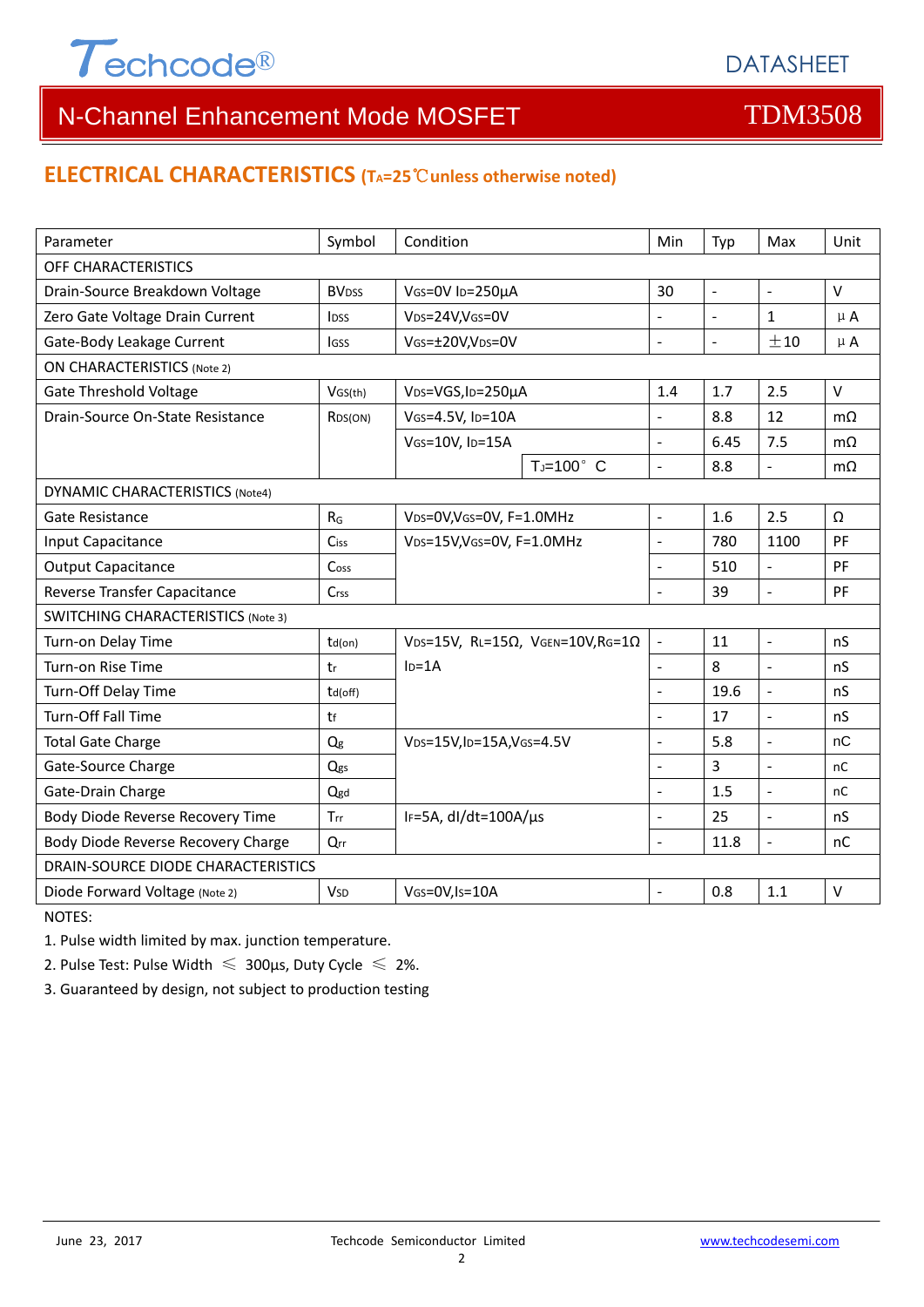

# N-Channel Enhancement Mode MOSFET THE TDM3508

### **ELECTRICAL CHARACTERISTICS (TA=25**℃**unless otherwise noted)**

| Parameter                                 | Symbol                   | Condition                                         | Min                      | Typ                 | Max                      | Unit           |  |  |
|-------------------------------------------|--------------------------|---------------------------------------------------|--------------------------|---------------------|--------------------------|----------------|--|--|
| OFF CHARACTERISTICS                       |                          |                                                   |                          |                     |                          |                |  |  |
| Drain-Source Breakdown Voltage            | <b>BV</b> <sub>DSS</sub> | VGS=0V ID=250µA                                   | 30                       | $\bar{\phantom{a}}$ | $\Box$                   | V              |  |  |
| Zero Gate Voltage Drain Current           | <b>l</b> <sub>DSS</sub>  | V <sub>DS</sub> =24V,V <sub>GS</sub> =0V          | ÷,                       |                     | $\mathbf{1}$             | $\mu$ A        |  |  |
| Gate-Body Leakage Current                 | <b>I</b> GSS             | VGS=±20V,VDS=0V                                   | $\overline{a}$           | $\equiv$            | ±10                      | $\mu$ A        |  |  |
| <b>ON CHARACTERISTICS (Note 2)</b>        |                          |                                                   |                          |                     |                          |                |  |  |
| <b>Gate Threshold Voltage</b>             | VGS(th)                  | V <sub>DS</sub> =VGS, I <sub>D</sub> =250µA       | 1.4                      | 1.7                 | 2.5                      | $\vee$         |  |  |
| Drain-Source On-State Resistance          | RDS(ON)                  | VGS=4.5V, ID=10A                                  | $\overline{a}$           | 8.8                 | 12                       | $m\Omega$      |  |  |
|                                           |                          | VGS=10V, ID=15A                                   | $\overline{a}$           | 6.45                | 7.5                      | m <sub>O</sub> |  |  |
|                                           |                          | $T_J=100^\circ$ C                                 | $\overline{a}$           | 8.8                 | $\blacksquare$           | $m\Omega$      |  |  |
| <b>DYNAMIC CHARACTERISTICS (Note4)</b>    |                          |                                                   |                          |                     |                          |                |  |  |
| <b>Gate Resistance</b>                    | $R_G$                    | VDS=0V, VGS=0V, F=1.0MHz                          | ÷,                       | 1.6                 | 2.5                      | Ω              |  |  |
| Input Capacitance                         | Ciss                     | VDS=15V, VGS=0V, F=1.0MHz                         | $\overline{a}$           | 780                 | 1100                     | PF             |  |  |
| <b>Output Capacitance</b>                 | Coss                     |                                                   | $\overline{a}$           | 510                 | $\equiv$                 | PF             |  |  |
| Reverse Transfer Capacitance              | $C$ rss                  |                                                   | $\overline{a}$           | 39                  | $\overline{a}$           | PF             |  |  |
| <b>SWITCHING CHARACTERISTICS (Note 3)</b> |                          |                                                   |                          |                     |                          |                |  |  |
| Turn-on Delay Time                        | $td($ on $)$             | VDS=15V, RL=15 $\Omega$ , VGEN=10V, RG=1 $\Omega$ | $\overline{\phantom{a}}$ | 11                  | $\bar{\phantom{a}}$      | nS             |  |  |
| Turn-on Rise Time                         | tr                       | $ID=1A$                                           | $\overline{a}$           | 8                   | $\Box$                   | nS             |  |  |
| Turn-Off Delay Time                       | td(off)                  |                                                   |                          | 19.6                | $\overline{a}$           | nS             |  |  |
| <b>Turn-Off Fall Time</b>                 | tf                       |                                                   |                          | 17                  | $\overline{\phantom{a}}$ | nS             |  |  |
| <b>Total Gate Charge</b>                  | Qg                       | VDS=15V, ID=15A, VGS=4.5V                         | $\overline{a}$           | 5.8                 | $\blacksquare$           | nC             |  |  |
| Gate-Source Charge                        | Qgs                      |                                                   | $\overline{a}$           | $\overline{3}$      | $\overline{a}$           | nC             |  |  |
| Gate-Drain Charge                         | Qgd                      |                                                   |                          | 1.5                 | $\overline{a}$           | nC             |  |  |
| Body Diode Reverse Recovery Time          | Trr                      | IF=5A, dl/dt=100A/µs                              | $\overline{\phantom{a}}$ | 25                  | $\Box$                   | nS             |  |  |
| Body Diode Reverse Recovery Charge        | Qrr                      |                                                   | $\overline{a}$           | 11.8                | $\blacksquare$           | nC             |  |  |
| DRAIN-SOURCE DIODE CHARACTERISTICS        |                          |                                                   |                          |                     |                          |                |  |  |
| Diode Forward Voltage (Note 2)            | <b>V<sub>SD</sub></b>    | VGS=0V,Is=10A                                     | $\overline{a}$           | 0.8                 | 1.1                      | $\vee$         |  |  |

NOTES:

1. Pulse width limited by max. junction temperature.

2. Pulse Test: Pulse Width  $\leq 300$ μs, Duty Cycle  $\leq 2\%$ .

3. Guaranteed by design, not subject to production testing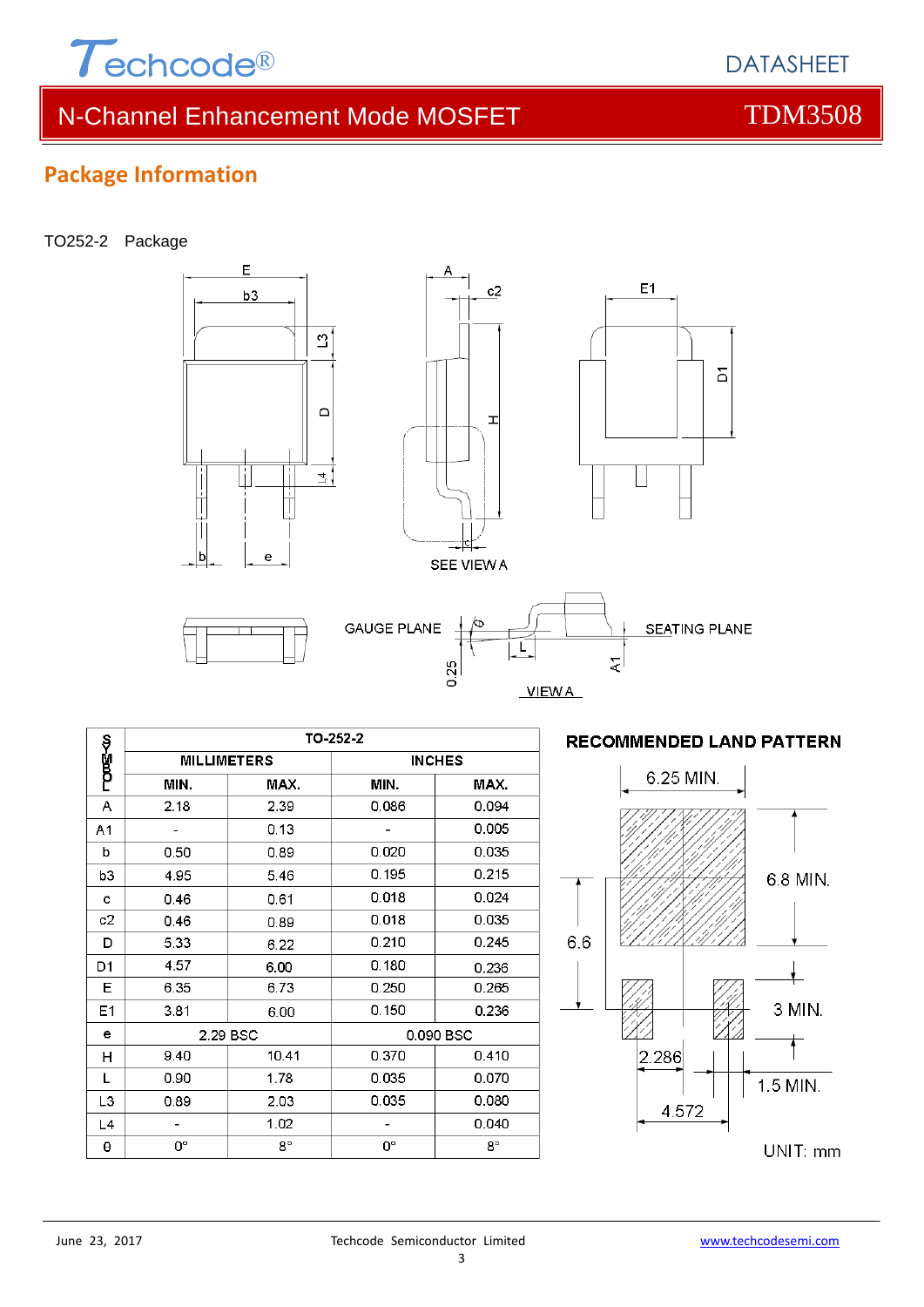

# N-Channel Enhancement Mode MOSFET THE TDM3508

**DATASHEFT** 

### **Package Information**

#### TO252-2 Package



#### TO-252-2 ాయణా⊰ం **INCHES MILLIMETERS** MIN. MAX. MIN. MAX.  $2.39$  $\overline{A}$  $2.18$ 0.086 0.094  $\overline{\phantom{a}}$  $0.005$  $\mathbb{Z}$  $0.13$  $A<sub>1</sub>$  $0.50$  $0.020$ 0.035  $\mathbf b$ 0.89  $0.195$  $0.215$ 4.95 5.46  $b3$  $0.018$  $0.024$  $0.46$  $0.61$ c  $0.018$ 0.035  $c2$ 0.46 0.89  $0.210$  $0.245$ D 5.33 6.22 4.57 D<sub>1</sub>  $0.180$ 6.00 0.236  $0.250$ 6.35  $E$ 6.73 0.265  $E<sub>1</sub>$  $3.81$ 6.00  $0.150$ 0.236 e 2.29 BSC 0.090 BSC 9.40 10.41 0.370  $0.410$  $H$  $\overline{L}$  $0.90$  $1.78$  $0.035$  $0.070$ 2.03  $0.035$  $0.080$ L<sub>3</sub> 0.89  $L<sub>4</sub>$  $\overline{a}$ 1.02  $\overline{a}$  $0.040$  $8^{\circ}$  $\boldsymbol{\theta}$  $\mathbf{O}^{\circ}$  $\mathbf{0}^\circ$  $8^{\circ}$